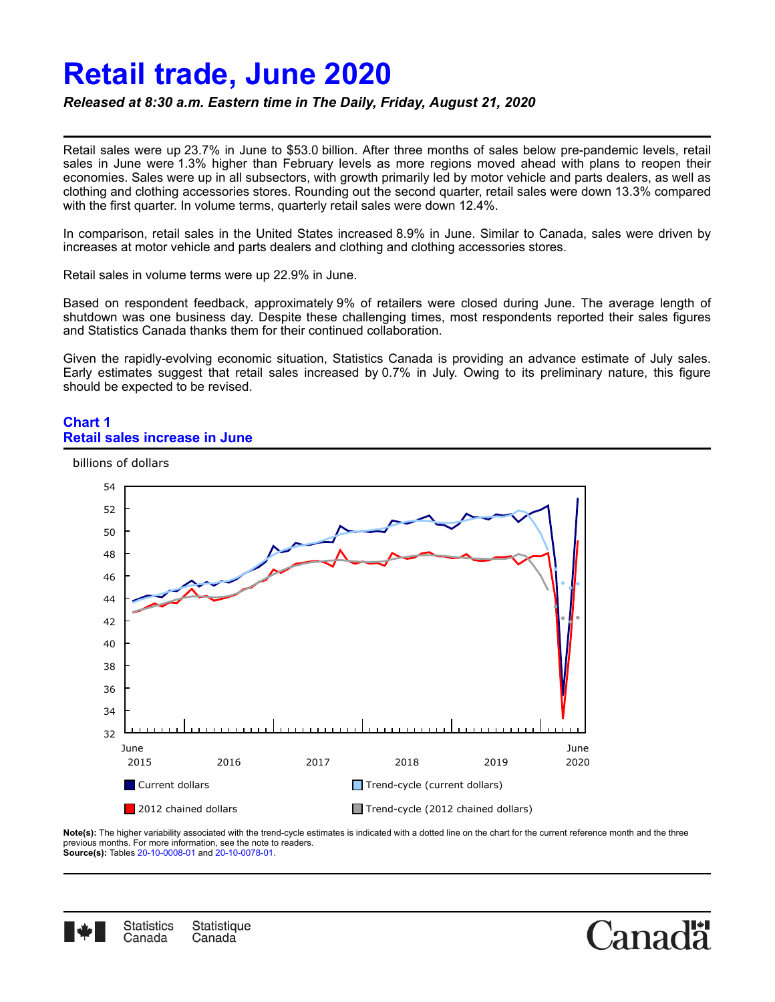# **Retail trade, June 2020**

# *Released at 8:30 a.m. Eastern time in The Daily, Friday, August 21, 2020*

Retail sales were up 23.7% in June to \$53.0 billion. After three months of sales below pre-pandemic levels, retail sales in June were 1.3% higher than February levels as more regions moved ahead with plans to reopen their economies. Sales were up in all subsectors, with growth primarily led by motor vehicle and parts dealers, as well as clothing and clothing accessories stores. Rounding out the second quarter, retail sales were down 13.3% compared with the first quarter. In volume terms, quarterly retail sales were down 12.4%.

In comparison, retail sales in the United States increased 8.9% in June. Similar to Canada, sales were driven by increases at motor vehicle and parts dealers and clothing and clothing accessories stores.

Retail sales in volume terms were up 22.9% in June.

Based on respondent feedback, approximately 9% of retailers were closed during June. The average length of shutdown was one business day. Despite these challenging times, most respondents reported their sales figures and Statistics Canada thanks them for their continued collaboration.

Given the rapidly-evolving economic situation, Statistics Canada is providing an advance estimate of July sales. Early estimates suggest that retail sales increased by 0.7% in July. Owing to its preliminary nature, this figure should be expected to be revised.

## **Chart 1 Retail sales increase in June**



**Note(s):** The higher variability associated with the trend-cycle estimates is indicated with a dotted line on the chart for the current reference month and the three previous months. For more information, see the note to readers. **Source(s):** Tables [20-10-0008-01](https://www150.statcan.gc.ca/t1/tbl1/en/tv.action?pid=2010000801) and [20-10-0078-01](https://www150.statcan.gc.ca/t1/tbl1/en/tv.action?pid=2010007801).



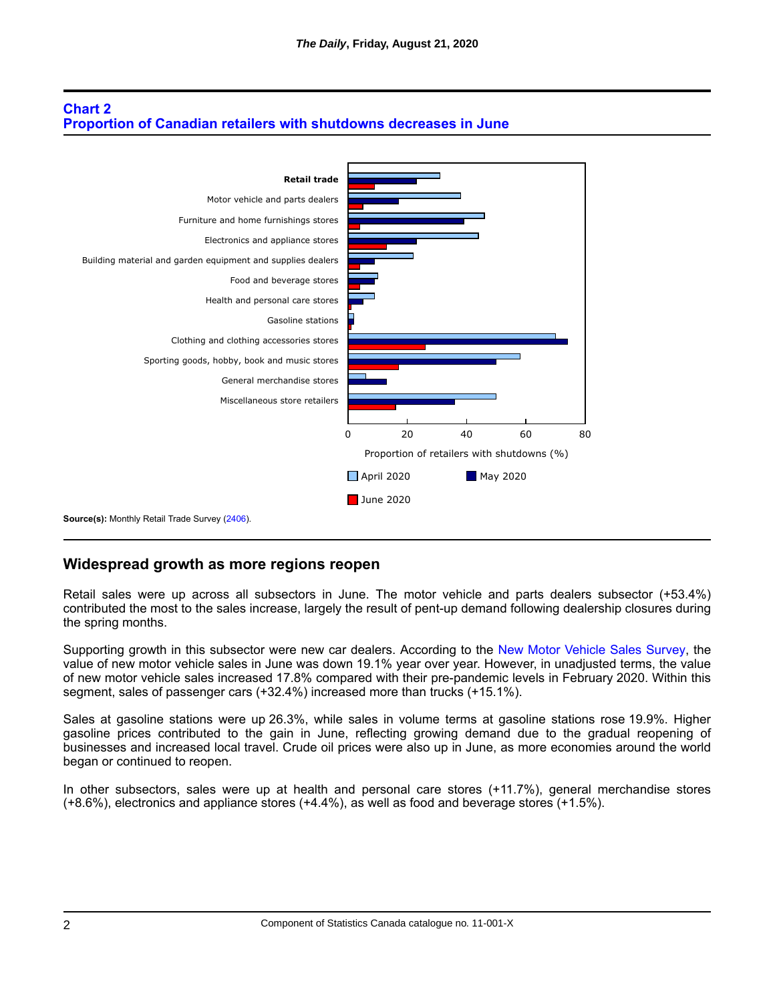# **Chart 2 Proportion of Canadian retailers with shutdowns decreases in June**



# **Widespread growth as more regions reopen**

Retail sales were up across all subsectors in June. The motor vehicle and parts dealers subsector (+53.4%) contributed the most to the sales increase, largely the result of pent-up demand following dealership closures during the spring months.

Supporting growth in this subsector were new car dealers. According to the [New Motor Vehicle Sales Survey,](https://www150.statcan.gc.ca/n1/daily-quotidien/200817/dq200817c-eng.htm) the value of new motor vehicle sales in June was down 19.1% year over year. However, in unadjusted terms, the value of new motor vehicle sales increased 17.8% compared with their pre-pandemic levels in February 2020. Within this segment, sales of passenger cars (+32.4%) increased more than trucks (+15.1%).

Sales at gasoline stations were up 26.3%, while sales in volume terms at gasoline stations rose 19.9%. Higher gasoline prices contributed to the gain in June, reflecting growing demand due to the gradual reopening of businesses and increased local travel. Crude oil prices were also up in June, as more economies around the world began or continued to reopen.

In other subsectors, sales were up at health and personal care stores (+11.7%), general merchandise stores (+8.6%), electronics and appliance stores (+4.4%), as well as food and beverage stores (+1.5%).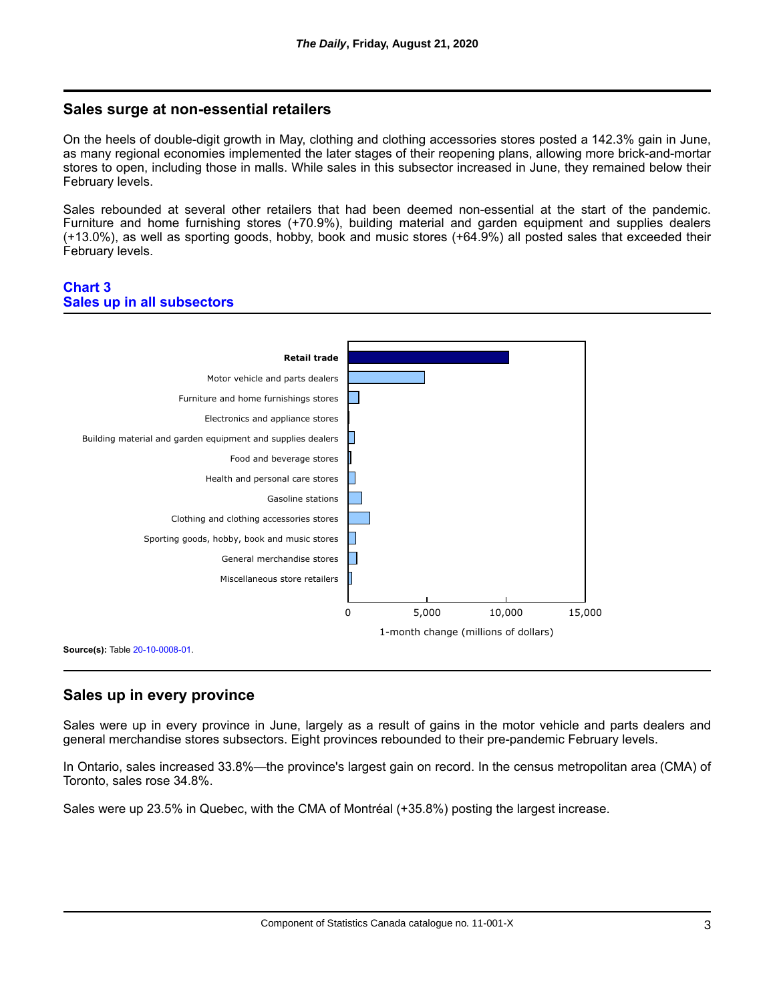## **Sales surge at non-essential retailers**

On the heels of double-digit growth in May, clothing and clothing accessories stores posted a 142.3% gain in June, as many regional economies implemented the later stages of their reopening plans, allowing more brick-and-mortar stores to open, including those in malls. While sales in this subsector increased in June, they remained below their February levels.

Sales rebounded at several other retailers that had been deemed non-essential at the start of the pandemic. Furniture and home furnishing stores (+70.9%), building material and garden equipment and supplies dealers (+13.0%), as well as sporting goods, hobby, book and music stores (+64.9%) all posted sales that exceeded their February levels.

#### **Chart 3 Sales up in all subsectors**



# **Sales up in every province**

Sales were up in every province in June, largely as a result of gains in the motor vehicle and parts dealers and general merchandise stores subsectors. Eight provinces rebounded to their pre-pandemic February levels.

In Ontario, sales increased 33.8%—the province's largest gain on record. In the census metropolitan area (CMA) of Toronto, sales rose 34.8%.

Sales were up 23.5% in Quebec, with the CMA of Montréal (+35.8%) posting the largest increase.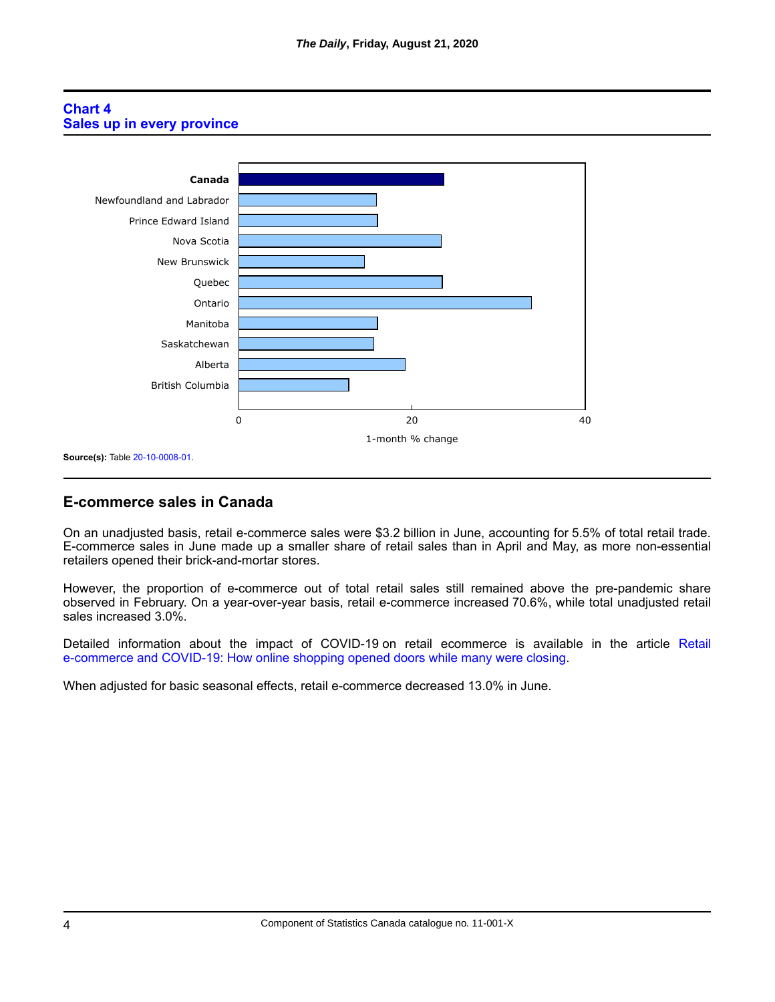# **Chart 4 Sales up in every province**



# **E-commerce sales in Canada**

On an unadjusted basis, retail e-commerce sales were \$3.2 billion in June, accounting for 5.5% of total retail trade. E-commerce sales in June made up a smaller share of retail sales than in April and May, as more non-essential retailers opened their brick-and-mortar stores.

However, the proportion of e-commerce out of total retail sales still remained above the pre-pandemic share observed in February. On a year-over-year basis, retail e-commerce increased 70.6%, while total unadjusted retail sales increased 3.0%.

[Detailed information about the impact of COVID-19 on retail ecommerce is available in the article](https://www150.statcan.gc.ca/en/catalogue/45280001202000100064) Retail e-commerce and COVID-19: How online shopping opened doors while many were closing.

When adjusted for basic seasonal effects, retail e-commerce decreased 13.0% in June.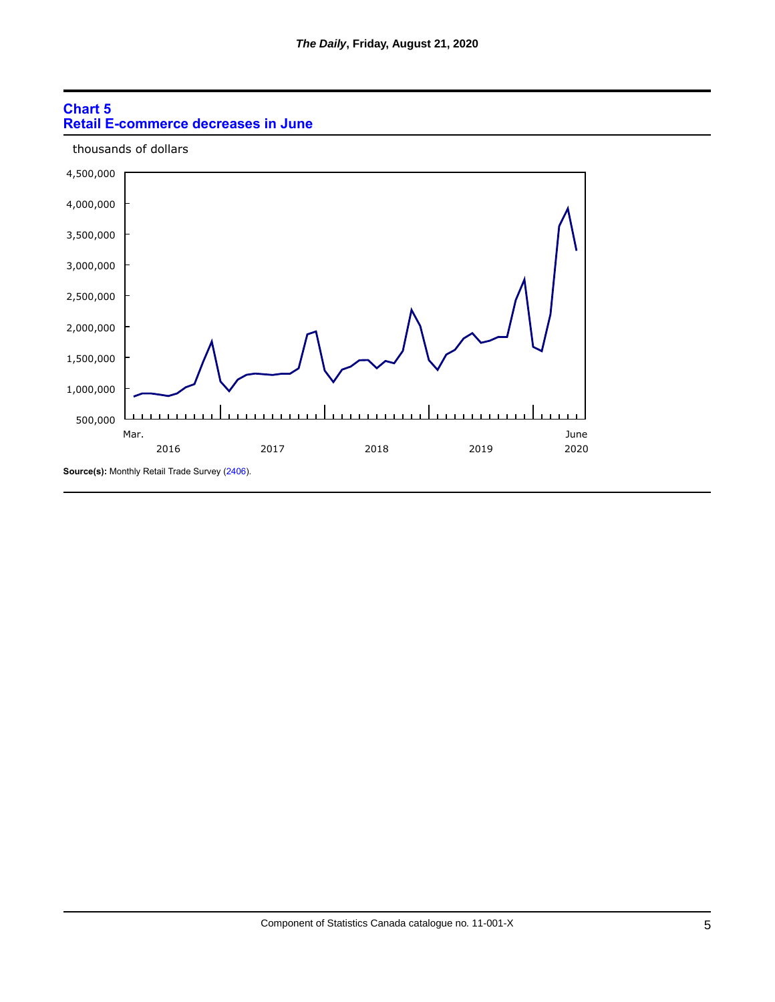# **Chart 5 Retail E-commerce decreases in June**



#### thousands of dollars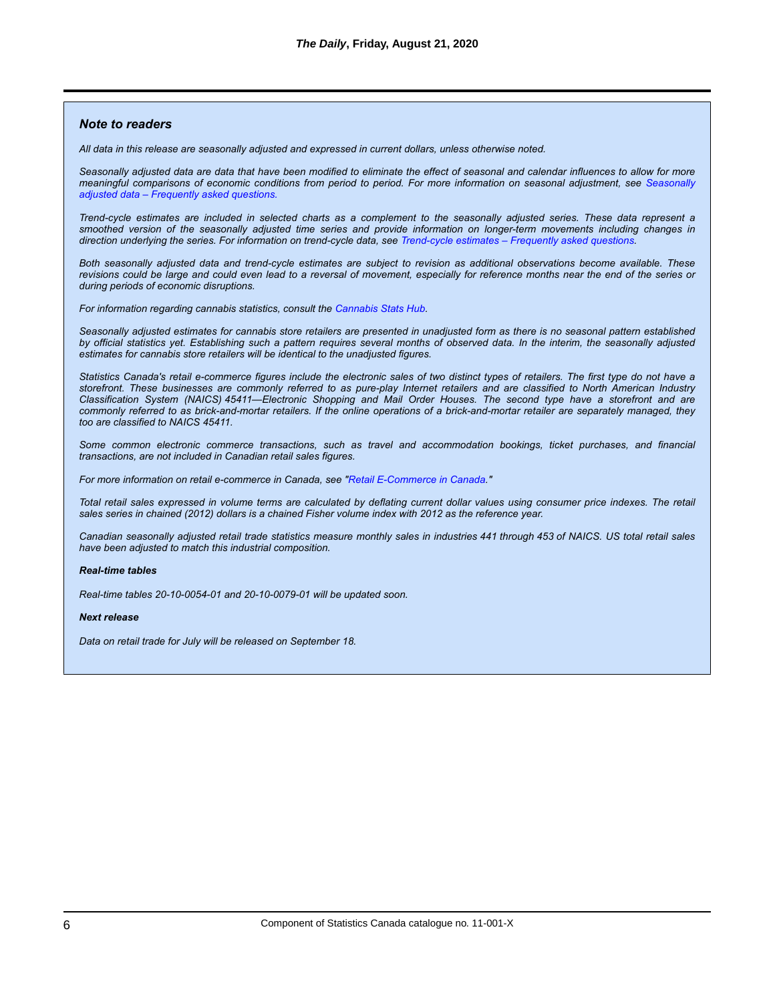#### *Note to readers*

*All data in this release are seasonally adjusted and expressed in current dollars, unless otherwise noted.*

*Seasonally adjusted data are data that have been modified to eliminate the effect of seasonal and calendar influences to allow for more [meaningful comparisons of economic conditions from period to period. For more information on seasonal adjustment, see](https://www.statcan.gc.ca/eng/dai/btd/sad-faq) Seasonally adjusted data – Frequently asked questions.*

*Trend-cycle estimates are included in selected charts as a complement to the seasonally adjusted series. These data represent a smoothed version of the seasonally adjusted time series and provide information on longer-term movements including changes in direction underlying the series. For information on trend-cycle data, see [Trend-cycle estimates – Frequently asked questions](https://www.statcan.gc.ca/eng/dai/btd/tce-faq).*

*Both seasonally adjusted data and trend-cycle estimates are subject to revision as additional observations become available. These revisions could be large and could even lead to a reversal of movement, especially for reference months near the end of the series or during periods of economic disruptions.*

*For information regarding cannabis statistics, consult the [Cannabis Stats Hub.](https://www150.statcan.gc.ca/n1/pub/13-610-x/cannabis-eng.htm?t=2)*

*Seasonally adjusted estimates for cannabis store retailers are presented in unadjusted form as there is no seasonal pattern established by official statistics yet. Establishing such a pattern requires several months of observed data. In the interim, the seasonally adjusted estimates for cannabis store retailers will be identical to the unadjusted figures.*

*Statistics Canada's retail e-commerce figures include the electronic sales of two distinct types of retailers. The first type do not have a storefront. These businesses are commonly referred to as pure-play Internet retailers and are classified to North American Industry Classification System (NAICS) 45411—Electronic Shopping and Mail Order Houses. The second type have a storefront and are commonly referred to as brick-and-mortar retailers. If the online operations of a brick-and-mortar retailer are separately managed, they too are classified to NAICS 45411.*

*Some common electronic commerce transactions, such as travel and accommodation bookings, ticket purchases, and financial transactions, are not included in Canadian retail sales figures.*

*For more information on retail e-commerce in Canada, see ["Retail E-Commerce in Canada.](https://www150.statcan.gc.ca/en/catalogue/11-621-M2016101)"*

*Total retail sales expressed in volume terms are calculated by deflating current dollar values using consumer price indexes. The retail sales series in chained (2012) dollars is a chained Fisher volume index with 2012 as the reference year.*

*Canadian seasonally adjusted retail trade statistics measure monthly sales in industries 441 through 453 of NAICS. US total retail sales have been adjusted to match this industrial composition.*

#### *Real-time tables*

*Real-time tables 20-10-0054-01 and 20-10-0079-01 will be updated soon.*

#### *Next release*

*Data on retail trade for July will be released on September 18.*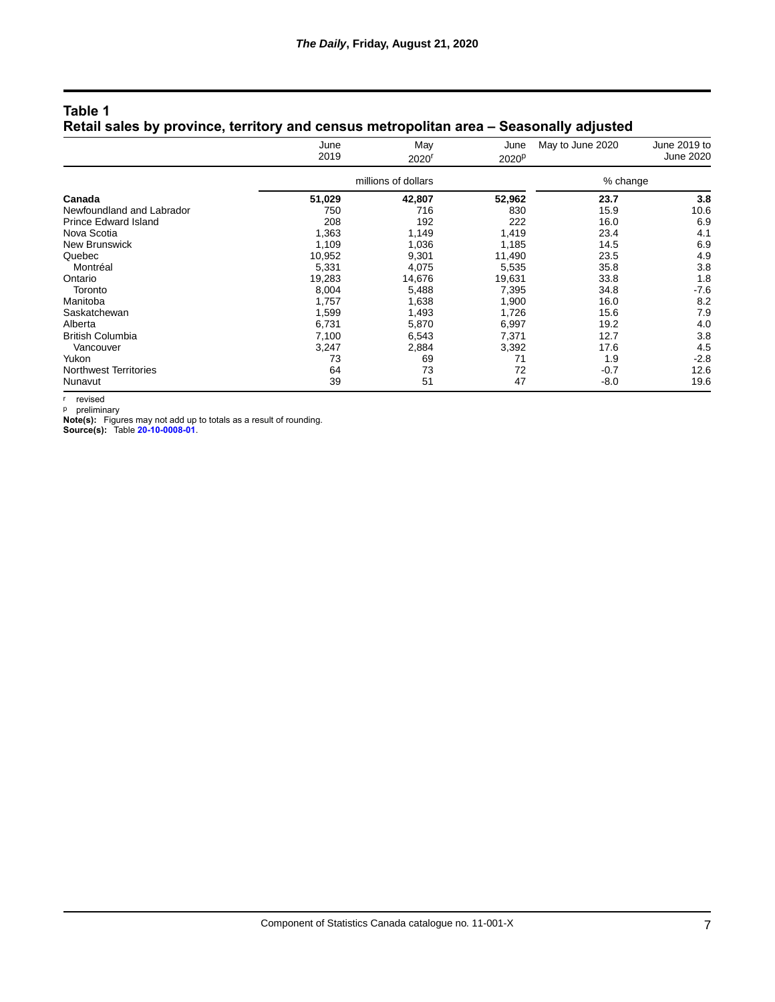|                              | June                | May               | June              | May to June 2020 | June 2019 to |
|------------------------------|---------------------|-------------------|-------------------|------------------|--------------|
|                              | 2019                | 2020 <sup>r</sup> | 2020 <sup>p</sup> |                  | June 2020    |
|                              | millions of dollars |                   | % change          |                  |              |
| Canada                       | 51,029              | 42,807            | 52,962            | 23.7             | 3.8          |
| Newfoundland and Labrador    | 750                 | 716               | 830               | 15.9             | 10.6         |
| <b>Prince Edward Island</b>  | 208                 | 192               | 222               | 16.0             | 6.9          |
| Nova Scotia                  | 1,363               | 1,149             | 1,419             | 23.4             | 4.1          |
| New Brunswick                | 1,109               | 1,036             | 1,185             | 14.5             | 6.9          |
| Quebec                       | 10,952              | 9,301             | 11,490            | 23.5             | 4.9          |
| Montréal                     | 5,331               | 4,075             | 5,535             | 35.8             | 3.8          |
| Ontario                      | 19,283              | 14,676            | 19,631            | 33.8             | 1.8          |
| Toronto                      | 8,004               | 5,488             | 7,395             | 34.8             | $-7.6$       |
| Manitoba                     | 1,757               | 1,638             | 1,900             | 16.0             | 8.2          |
| Saskatchewan                 | 1,599               | 1,493             | 1,726             | 15.6             | 7.9          |
| Alberta                      | 6,731               | 5,870             | 6,997             | 19.2             | 4.0          |
| <b>British Columbia</b>      | 7,100               | 6,543             | 7,371             | 12.7             | 3.8          |
| Vancouver                    | 3,247               | 2,884             | 3,392             | 17.6             | 4.5          |
| Yukon                        | 73                  | 69                | 71                | 1.9              | $-2.8$       |
| <b>Northwest Territories</b> | 64                  | 73                | 72                | $-0.7$           | 12.6         |
| Nunavut                      | 39                  | 51                | 47                | $-8.0$           | 19.6         |

#### **Table 1 Retail sales by province, territory and census metropolitan area – Seasonally adjusted**

r revised

p preliminary

**Note(s):** Figures may not add up to totals as a result of rounding.

**Source(s):** Table **[20-10-0008-01](https://www150.statcan.gc.ca/t1/tbl1/en/tv.action?pid=2010000801)**.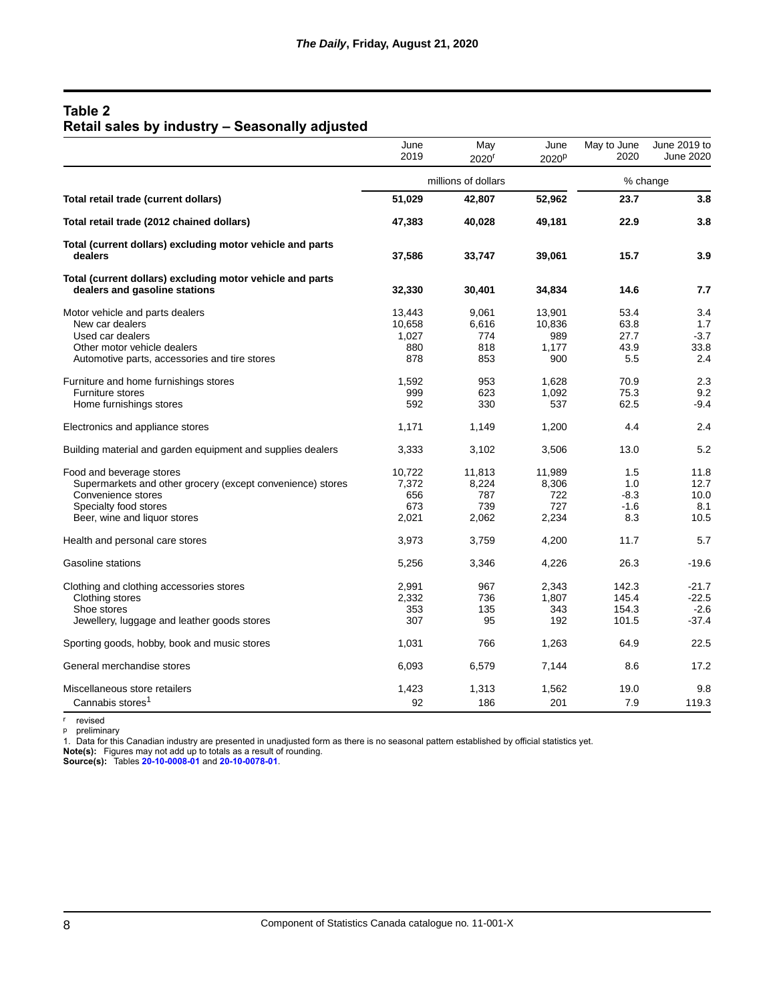# **Table 2 Retail sales by industry – Seasonally adjusted**

|                                                                                            | June<br>2019 | May<br>2020 <sup>r</sup> | June<br>2020 <sup>p</sup> | May to June<br>2020 | June 2019 to<br>June 2020 |
|--------------------------------------------------------------------------------------------|--------------|--------------------------|---------------------------|---------------------|---------------------------|
|                                                                                            |              | millions of dollars      |                           |                     | % change                  |
| Total retail trade (current dollars)                                                       | 51,029       | 42,807                   | 52,962                    | 23.7                | 3.8                       |
| Total retail trade (2012 chained dollars)                                                  | 47,383       | 40,028                   | 49,181                    | 22.9                | 3.8                       |
| Total (current dollars) excluding motor vehicle and parts<br>dealers                       | 37,586       | 33,747                   | 39,061                    | 15.7                | 3.9                       |
| Total (current dollars) excluding motor vehicle and parts<br>dealers and gasoline stations | 32,330       | 30,401                   | 34,834                    | 14.6                | 7.7                       |
| Motor vehicle and parts dealers                                                            | 13,443       | 9,061                    | 13,901                    | 53.4                | 3.4                       |
| New car dealers                                                                            | 10,658       | 6,616                    | 10,836                    | 63.8                | 1.7                       |
| Used car dealers                                                                           | 1,027        | 774                      | 989                       | 27.7                | $-3.7$                    |
| Other motor vehicle dealers                                                                | 880          | 818                      | 1,177                     | 43.9                | 33.8                      |
| Automotive parts, accessories and tire stores                                              | 878          | 853                      | 900                       | 5.5                 | 2.4                       |
| Furniture and home furnishings stores                                                      | 1,592        | 953                      | 1,628                     | 70.9                | 2.3                       |
| Furniture stores                                                                           | 999          | 623                      | 1,092                     | 75.3                | 9.2                       |
| Home furnishings stores                                                                    | 592          | 330                      | 537                       | 62.5                | $-9.4$                    |
| Electronics and appliance stores                                                           | 1,171        | 1,149                    | 1,200                     | 4.4                 | 2.4                       |
| Building material and garden equipment and supplies dealers                                | 3,333        | 3,102                    | 3,506                     | 13.0                | 5.2                       |
| Food and beverage stores                                                                   | 10,722       | 11,813                   | 11,989                    | 1.5                 | 11.8                      |
| Supermarkets and other grocery (except convenience) stores                                 | 7,372        | 8,224                    | 8,306                     | 1.0                 | 12.7                      |
| Convenience stores                                                                         | 656          | 787                      | 722                       | $-8.3$              | 10.0                      |
| Specialty food stores                                                                      | 673          | 739                      | 727                       | $-1.6$              | 8.1                       |
| Beer, wine and liquor stores                                                               | 2,021        | 2,062                    | 2,234                     | 8.3                 | 10.5                      |
| Health and personal care stores                                                            | 3,973        | 3,759                    | 4,200                     | 11.7                | 5.7                       |
| Gasoline stations                                                                          | 5,256        | 3,346                    | 4,226                     | 26.3                | $-19.6$                   |
| Clothing and clothing accessories stores                                                   | 2,991        | 967                      | 2,343                     | 142.3               | $-21.7$                   |
| Clothing stores                                                                            | 2,332        | 736                      | 1,807                     | 145.4               | $-22.5$                   |
| Shoe stores                                                                                | 353          | 135                      | 343                       | 154.3               | $-2.6$                    |
| Jewellery, luggage and leather goods stores                                                | 307          | 95                       | 192                       | 101.5               | $-37.4$                   |
| Sporting goods, hobby, book and music stores                                               | 1,031        | 766                      | 1,263                     | 64.9                | 22.5                      |
| General merchandise stores                                                                 | 6,093        | 6,579                    | 7,144                     | 8.6                 | 17.2                      |
| Miscellaneous store retailers                                                              | 1,423        | 1,313                    | 1,562                     | 19.0                | 9.8                       |
| Cannabis stores <sup>1</sup>                                                               | 92           | 186                      | 201                       | 7.9                 | 119.3                     |
|                                                                                            |              |                          |                           |                     |                           |

r revised

p preliminary

1. Data for this Canadian industry are presented in unadjusted form as there is no seasonal pattern established by official statistics yet.

**Note(s):** Figures may not add up to totals as a result of rounding.

**Source(s):** Tables **[20-10-0008-01](https://www150.statcan.gc.ca/t1/tbl1/en/tv.action?pid=2010000801)** and **[20-10-0078-01](https://www150.statcan.gc.ca/t1/tbl1/en/tv.action?pid=2010007801)**.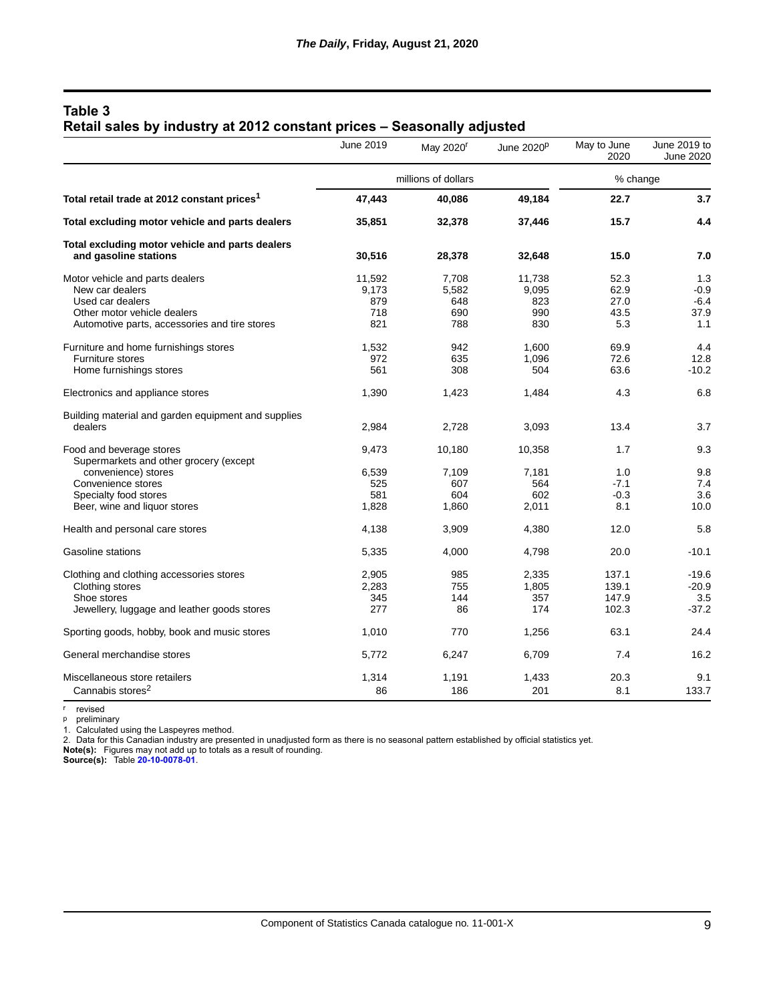| Table 3                                                                |  |  |
|------------------------------------------------------------------------|--|--|
| Retail sales by industry at 2012 constant prices – Seasonally adjusted |  |  |

|                                                                                                                                                        | June 2019                            | May 2020 <sup>r</sup>               | June 2020 <sup>p</sup>               | May to June<br>2020                 | June 2019 to<br><b>June 2020</b>       |
|--------------------------------------------------------------------------------------------------------------------------------------------------------|--------------------------------------|-------------------------------------|--------------------------------------|-------------------------------------|----------------------------------------|
|                                                                                                                                                        |                                      | millions of dollars                 |                                      | % change                            |                                        |
| Total retail trade at 2012 constant prices <sup>1</sup>                                                                                                | 47,443                               | 40,086                              | 49,184                               | 22.7                                | 3.7                                    |
| Total excluding motor vehicle and parts dealers                                                                                                        | 35,851                               | 32,378                              | 37,446                               | 15.7                                | 4.4                                    |
| Total excluding motor vehicle and parts dealers<br>and gasoline stations                                                                               | 30,516                               | 28,378                              | 32,648                               | 15.0                                | 7.0                                    |
| Motor vehicle and parts dealers<br>New car dealers<br>Used car dealers<br>Other motor vehicle dealers<br>Automotive parts, accessories and tire stores | 11,592<br>9,173<br>879<br>718<br>821 | 7,708<br>5,582<br>648<br>690<br>788 | 11,738<br>9,095<br>823<br>990<br>830 | 52.3<br>62.9<br>27.0<br>43.5<br>5.3 | 1.3<br>$-0.9$<br>$-6.4$<br>37.9<br>1.1 |
| Furniture and home furnishings stores<br>Furniture stores<br>Home furnishings stores                                                                   | 1,532<br>972<br>561                  | 942<br>635<br>308                   | 1,600<br>1,096<br>504                | 69.9<br>72.6<br>63.6                | 4.4<br>12.8<br>$-10.2$                 |
| Electronics and appliance stores                                                                                                                       | 1,390                                | 1,423                               | 1,484                                | 4.3                                 | 6.8                                    |
| Building material and garden equipment and supplies<br>dealers                                                                                         | 2,984                                | 2,728                               | 3,093                                | 13.4                                | 3.7                                    |
| Food and beverage stores<br>Supermarkets and other grocery (except                                                                                     | 9,473                                | 10,180                              | 10,358                               | 1.7                                 | 9.3                                    |
| convenience) stores<br>Convenience stores<br>Specialty food stores<br>Beer, wine and liquor stores                                                     | 6,539<br>525<br>581<br>1,828         | 7,109<br>607<br>604<br>1,860        | 7,181<br>564<br>602<br>2,011         | 1.0<br>$-7.1$<br>$-0.3$<br>8.1      | 9.8<br>7.4<br>3.6<br>10.0              |
| Health and personal care stores                                                                                                                        | 4,138                                | 3,909                               | 4,380                                | 12.0                                | 5.8                                    |
| Gasoline stations                                                                                                                                      | 5,335                                | 4,000                               | 4,798                                | 20.0                                | $-10.1$                                |
| Clothing and clothing accessories stores<br>Clothing stores<br>Shoe stores<br>Jewellery, luggage and leather goods stores                              | 2,905<br>2,283<br>345<br>277         | 985<br>755<br>144<br>86             | 2,335<br>1,805<br>357<br>174         | 137.1<br>139.1<br>147.9<br>102.3    | $-19.6$<br>$-20.9$<br>3.5<br>$-37.2$   |
| Sporting goods, hobby, book and music stores                                                                                                           | 1,010                                | 770                                 | 1,256                                | 63.1                                | 24.4                                   |
| General merchandise stores                                                                                                                             | 5,772                                | 6,247                               | 6,709                                | 7.4                                 | 16.2                                   |
| Miscellaneous store retailers<br>Cannabis stores <sup>2</sup>                                                                                          | 1,314<br>86                          | 1,191<br>186                        | 1,433<br>201                         | 20.3<br>8.1                         | 9.1<br>133.7                           |

r revised

p preliminary

1. Calculated using the Laspeyres method.

2. Data for this Canadian industry are presented in unadjusted form as there is no seasonal pattern established by official statistics yet.

**Note(s):** Figures may not add up to totals as a result of rounding.

**Source(s):** Table **[20-10-0078-01](https://www150.statcan.gc.ca/t1/tbl1/en/tv.action?pid=2010007801)**.